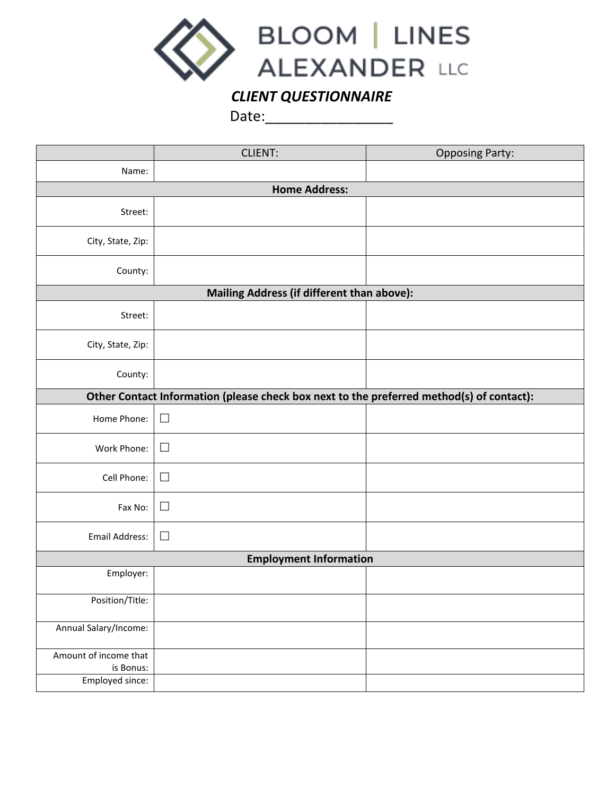

## *CLIENT QUESTIONNAIRE*

Date:\_\_\_\_\_\_\_\_\_\_\_\_\_\_\_\_

|                                                                                          | <b>CLIENT:</b> | <b>Opposing Party:</b> |  |  |  |  |  |  |  |
|------------------------------------------------------------------------------------------|----------------|------------------------|--|--|--|--|--|--|--|
| Name:                                                                                    |                |                        |  |  |  |  |  |  |  |
| <b>Home Address:</b>                                                                     |                |                        |  |  |  |  |  |  |  |
| Street:                                                                                  |                |                        |  |  |  |  |  |  |  |
| City, State, Zip:                                                                        |                |                        |  |  |  |  |  |  |  |
| County:                                                                                  |                |                        |  |  |  |  |  |  |  |
| Mailing Address (if different than above):                                               |                |                        |  |  |  |  |  |  |  |
| Street:                                                                                  |                |                        |  |  |  |  |  |  |  |
| City, State, Zip:                                                                        |                |                        |  |  |  |  |  |  |  |
| County:                                                                                  |                |                        |  |  |  |  |  |  |  |
| Other Contact Information (please check box next to the preferred method(s) of contact): |                |                        |  |  |  |  |  |  |  |
| Home Phone:                                                                              | $\Box$         |                        |  |  |  |  |  |  |  |
| Work Phone:                                                                              | $\Box$         |                        |  |  |  |  |  |  |  |
| Cell Phone:                                                                              | $\Box$         |                        |  |  |  |  |  |  |  |
| Fax No:                                                                                  | $\Box$         |                        |  |  |  |  |  |  |  |
| Email Address:                                                                           | П              |                        |  |  |  |  |  |  |  |
| <b>Employment Information</b>                                                            |                |                        |  |  |  |  |  |  |  |
| Employer:                                                                                |                |                        |  |  |  |  |  |  |  |
| Position/Title:                                                                          |                |                        |  |  |  |  |  |  |  |
| Annual Salary/Income:                                                                    |                |                        |  |  |  |  |  |  |  |
| Amount of income that<br>is Bonus:                                                       |                |                        |  |  |  |  |  |  |  |
| Employed since:                                                                          |                |                        |  |  |  |  |  |  |  |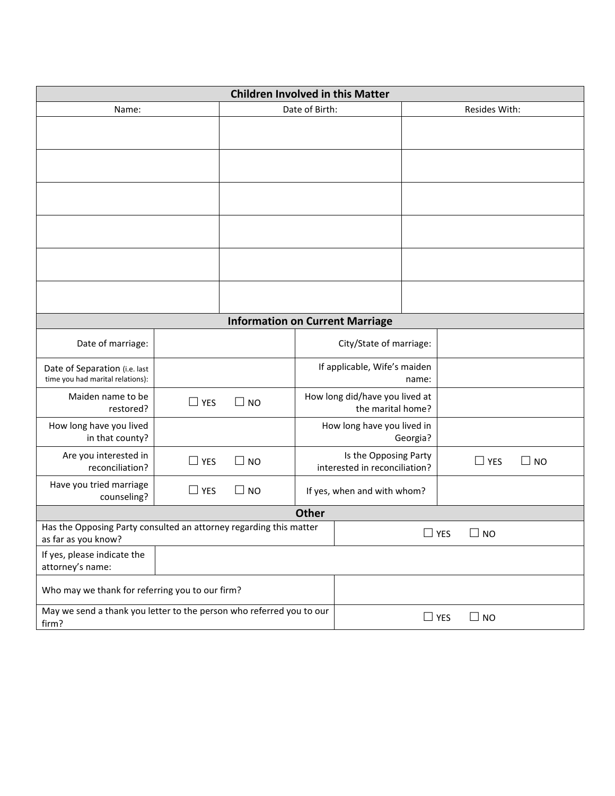| <b>Children Involved in this Matter</b>                                                   |            |                |                                                        |                         |            |           |  |
|-------------------------------------------------------------------------------------------|------------|----------------|--------------------------------------------------------|-------------------------|------------|-----------|--|
| Name:                                                                                     |            | Date of Birth: |                                                        | Resides With:           |            |           |  |
|                                                                                           |            |                |                                                        |                         |            |           |  |
|                                                                                           |            |                |                                                        |                         |            |           |  |
|                                                                                           |            |                |                                                        |                         |            |           |  |
|                                                                                           |            |                |                                                        |                         |            |           |  |
|                                                                                           |            |                |                                                        |                         |            |           |  |
|                                                                                           |            |                |                                                        |                         |            |           |  |
| <b>Information on Current Marriage</b>                                                    |            |                |                                                        |                         |            |           |  |
| Date of marriage:                                                                         |            |                |                                                        | City/State of marriage: |            |           |  |
| Date of Separation (i.e. last<br>time you had marital relations):                         |            |                | If applicable, Wife's maiden                           |                         | name:      |           |  |
| Maiden name to be<br>restored?                                                            | $\Box$ YES | $\Box$ NO      | How long did/have you lived at<br>the marital home?    |                         |            |           |  |
| How long have you lived<br>in that county?                                                |            |                | How long have you lived in<br>Georgia?                 |                         |            |           |  |
| Are you interested in<br>reconciliation?                                                  | $\Box$ YES | $\Box$ NO      | Is the Opposing Party<br>interested in reconciliation? |                         | $\Box$ YES | $\Box$ NO |  |
| Have you tried marriage<br>counseling?                                                    | $\Box$ YES | $\square$ NO   | If yes, when and with whom?                            |                         |            |           |  |
| <b>Other</b>                                                                              |            |                |                                                        |                         |            |           |  |
| Has the Opposing Party consulted an attorney regarding this matter<br>as far as you know? |            |                | YES                                                    | <b>NO</b>               |            |           |  |
| If yes, please indicate the<br>attorney's name:                                           |            |                |                                                        |                         |            |           |  |
| Who may we thank for referring you to our firm?                                           |            |                |                                                        |                         |            |           |  |
| May we send a thank you letter to the person who referred you to our<br>firm?             |            |                | $\Box$ YES                                             | $\square$ NO            |            |           |  |